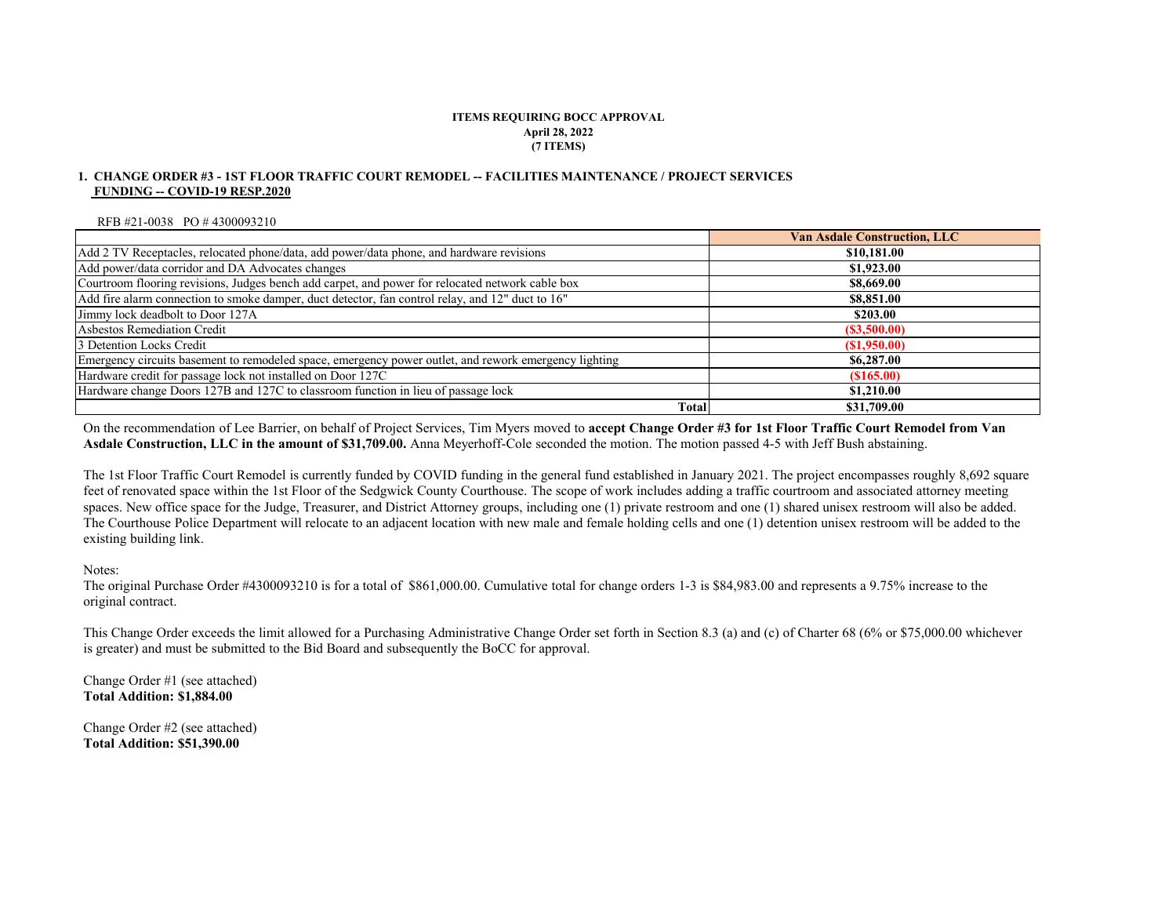#### **ITEMS REQUIRING BOCC APPROVAL April 28, 2022 (7 ITEMS)**

#### **FUNDING -- COVID-19 RESP.2020 1. CHANGE ORDER #3 - 1ST FLOOR TRAFFIC COURT REMODEL -- FACILITIES MAINTENANCE / PROJECT SERVICES**

RFB #21-0038 PO # 4300093210

|                                                                                                       | <b>Van Asdale Construction, LLC</b> |
|-------------------------------------------------------------------------------------------------------|-------------------------------------|
| Add 2 TV Receptacles, relocated phone/data, add power/data phone, and hardware revisions              | \$10,181.00                         |
| Add power/data corridor and DA Advocates changes                                                      | \$1,923.00                          |
| Courtroom flooring revisions, Judges bench add carpet, and power for relocated network cable box      | \$8,669.00                          |
| Add fire alarm connection to smoke damper, duct detector, fan control relay, and 12" duct to 16"      | \$8,851.00                          |
| Jimmy lock deadbolt to Door 127A                                                                      | \$203.00                            |
| Asbestos Remediation Credit                                                                           | (S3,500.00)                         |
| 3 Detention Locks Credit                                                                              | (S1,950.00)                         |
| Emergency circuits basement to remodeled space, emergency power outlet, and rework emergency lighting | \$6,287.00                          |
| Hardware credit for passage lock not installed on Door 127C                                           | (S165.00)                           |
| Hardware change Doors 127B and 127C to classroom function in lieu of passage lock                     | \$1,210.00                          |
| Total                                                                                                 | \$31,709.00                         |

On the recommendation of Lee Barrier, on behalf of Project Services, Tim Myers moved to **accept Change Order #3 for 1st Floor Traffic Court Remodel from Van Asdale Construction, LLC in the amount of \$31,709.00.** Anna Meyerhoff-Cole seconded the motion. The motion passed 4-5 with Jeff Bush abstaining.

The 1st Floor Traffic Court Remodel is currently funded by COVID funding in the general fund established in January 2021. The project encompasses roughly 8,692 square feet of renovated space within the 1st Floor of the Sedgwick County Courthouse. The scope of work includes adding a traffic courtroom and associated attorney meeting spaces. New office space for the Judge, Treasurer, and District Attorney groups, including one (1) private restroom and one (1) shared unisex restroom will also be added. The Courthouse Police Department will relocate to an adjacent location with new male and female holding cells and one (1) detention unisex restroom will be added to the existing building link.

Notes:

The original Purchase Order #4300093210 is for a total of \$861,000.00. Cumulative total for change orders 1-3 is \$84,983.00 and represents a 9.75% increase to the original contract.

This Change Order exceeds the limit allowed for a Purchasing Administrative Change Order set forth in Section 8.3 (a) and (c) of Charter 68 (6% or \$75,000.00 whichever is greater) and must be submitted to the Bid Board and subsequently the BoCC for approval.

Change Order #1 (see attached) **Total Addition: \$1,884.00**

Change Order #2 (see attached) **Total Addition: \$51,390.00**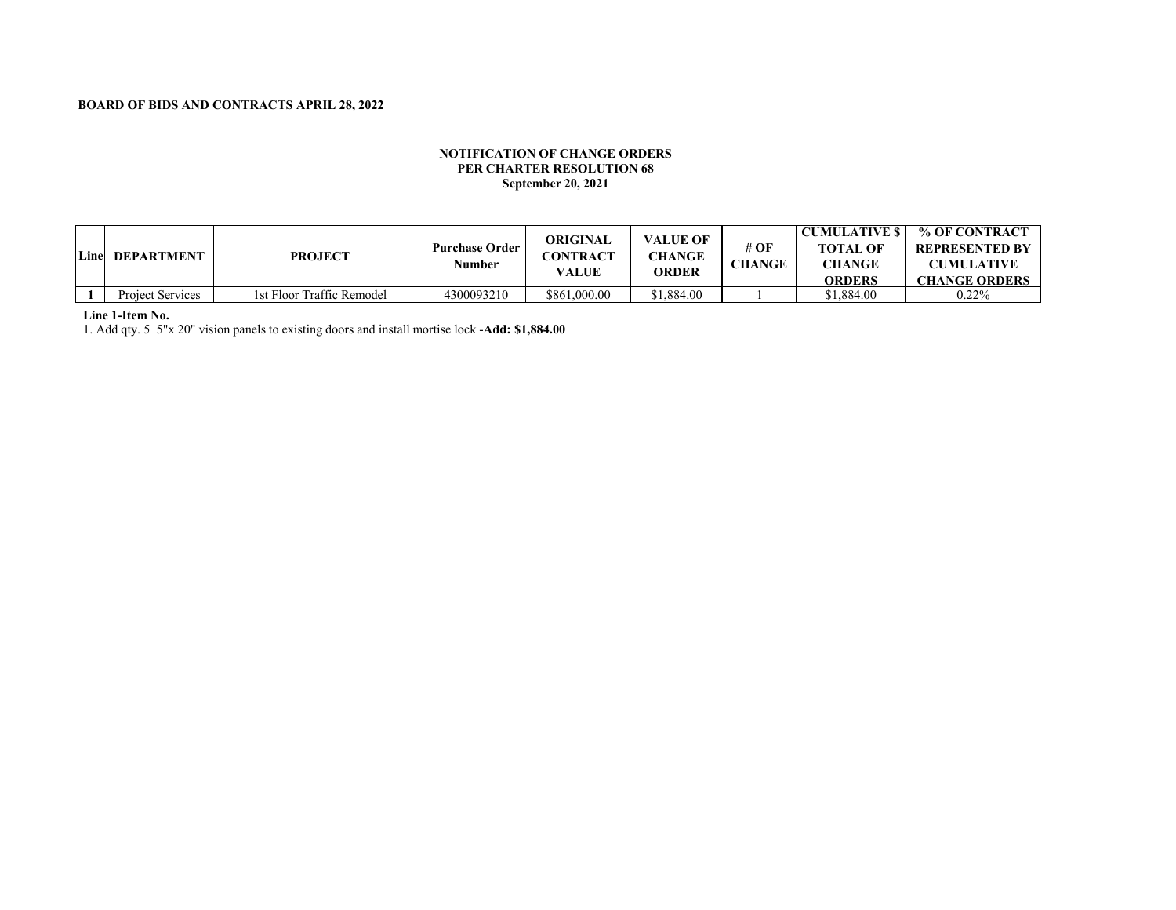### **NOTIFICATION OF CHANGE ORDERS PER CHARTER RESOLUTION 68**<br>**Perfection 20, 2021 WEEK ENDING March 29, 2019 September 20, 2021**

| Line | <b>DEPARTMENT</b>       | <b>PROJECT</b>            | <b>Purchase Order</b><br>Number | ORIGINAL<br><b>CONTRACT</b><br>VALUE | <b>VALUE OF</b><br><b>CHANGE</b><br><b>ORDER</b> | # OF<br>CHANGE | <b>CUMULATIVE S</b><br><b>TOTAL OF</b><br><b>CHANGE</b><br>ORDERS | % OF CONTRACT<br><b>REPRESENTED BY</b><br><b>CUMULATIVE</b><br><b>CHANGE ORDERS</b> |
|------|-------------------------|---------------------------|---------------------------------|--------------------------------------|--------------------------------------------------|----------------|-------------------------------------------------------------------|-------------------------------------------------------------------------------------|
|      | <b>Project Services</b> | 1st Floor Traffic Remodel | 4300093210                      | \$861,000.00                         | \$1.884.00                                       |                | 81.884.00                                                         | $0.22\%$                                                                            |

### **Line 1-Item No.**

1. Add qty. 5 5"x 20" vision panels to existing doors and install mortise lock -**Add: \$1,884.00**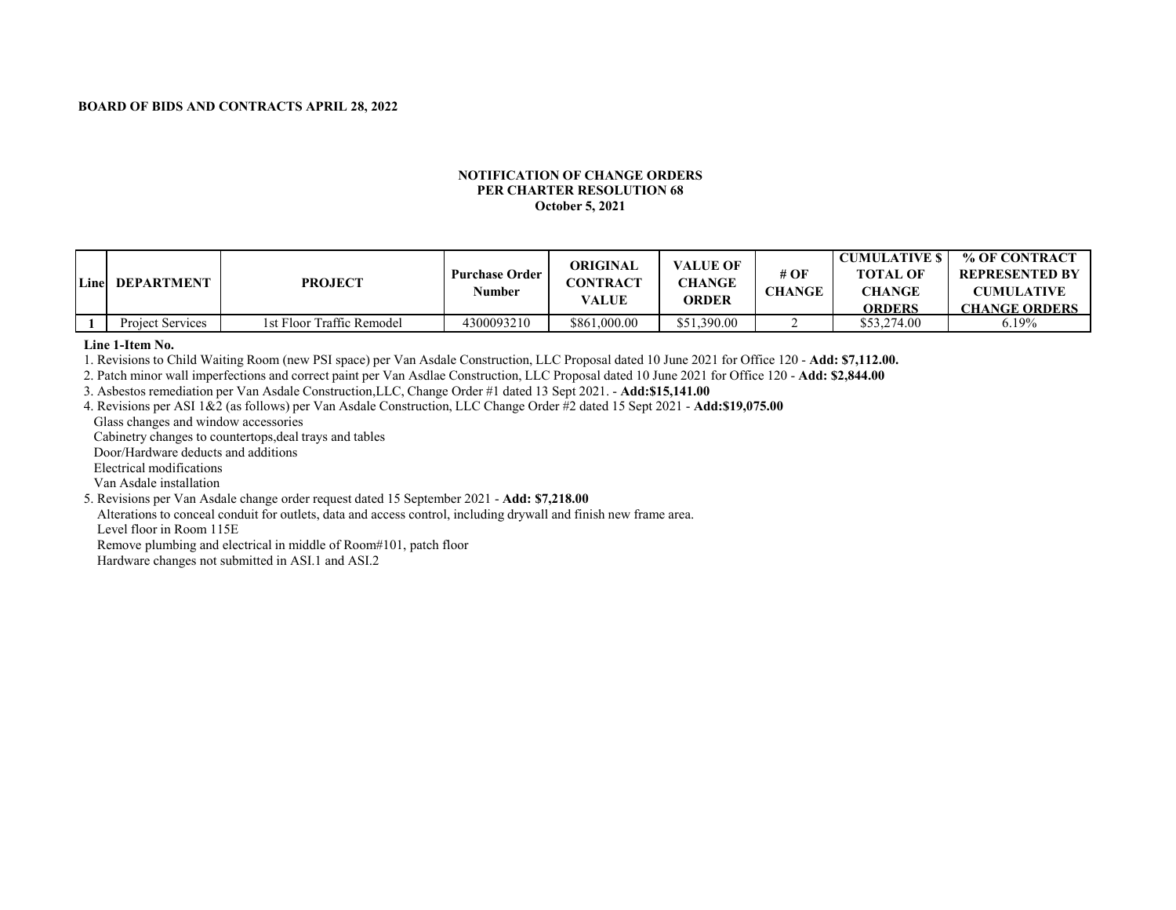### **NOTIFICATION OF CHANGE ORDERS PER CHARTER RESOLUTION 68 WEEK ENDING March 29, 2019 October 5, 2021**

| Line | <b>DEPARTMENT</b> | <b>PROJECT</b>            | <b>Purchase Order</b><br>Number | ORIGINAL<br>CONTRACT<br>VALUE | <b>VALUE OF</b><br><b>CHANGE</b><br><b>ORDER</b> | # OF<br>CHANGE | <b>CUMULATIVE \$</b><br><b>TOTAL OF</b><br><b>CHANGE</b><br>ORDERS | % OF CONTRACT<br><b>REPRESENTED BY</b><br><b>CUMULATIVE</b><br><b>CHANGE ORDERS</b> |
|------|-------------------|---------------------------|---------------------------------|-------------------------------|--------------------------------------------------|----------------|--------------------------------------------------------------------|-------------------------------------------------------------------------------------|
|      | Project Services  | 1st Floor Traffic Remodel | 4300093210                      | \$861,000.00                  | \$51,390.00                                      |                | \$53,274.00                                                        | $6.19\%$                                                                            |

**Line 1-Item No.**

1. Revisions to Child Waiting Room (new PSI space) per Van Asdale Construction, LLC Proposal dated 10 June 2021 for Office 120 - **Add: \$7,112.00.**

2. Patch minor wall imperfections and correct paint per Van Asdlae Construction, LLC Proposal dated 10 June 2021 for Office 120 - **Add: \$2,844.00**

3. Asbestos remediation per Van Asdale Construction,LLC, Change Order #1 dated 13 Sept 2021. - **Add:\$15,141.00**

4. Revisions per ASI 1&2 (as follows) per Van Asdale Construction, LLC Change Order #2 dated 15 Sept 2021 - **Add:\$19,075.00**

Glass changes and window accessories

Cabinetry changes to countertops,deal trays and tables

Door/Hardware deducts and additions

Electrical modifications

Van Asdale installation

5. Revisions per Van Asdale change order request dated 15 September 2021 - **Add: \$7,218.00**

Alterations to conceal conduit for outlets, data and access control, including drywall and finish new frame area. Level floor in Room 115E

Remove plumbing and electrical in middle of Room#101, patch floor

Hardware changes not submitted in ASI.1 and ASI.2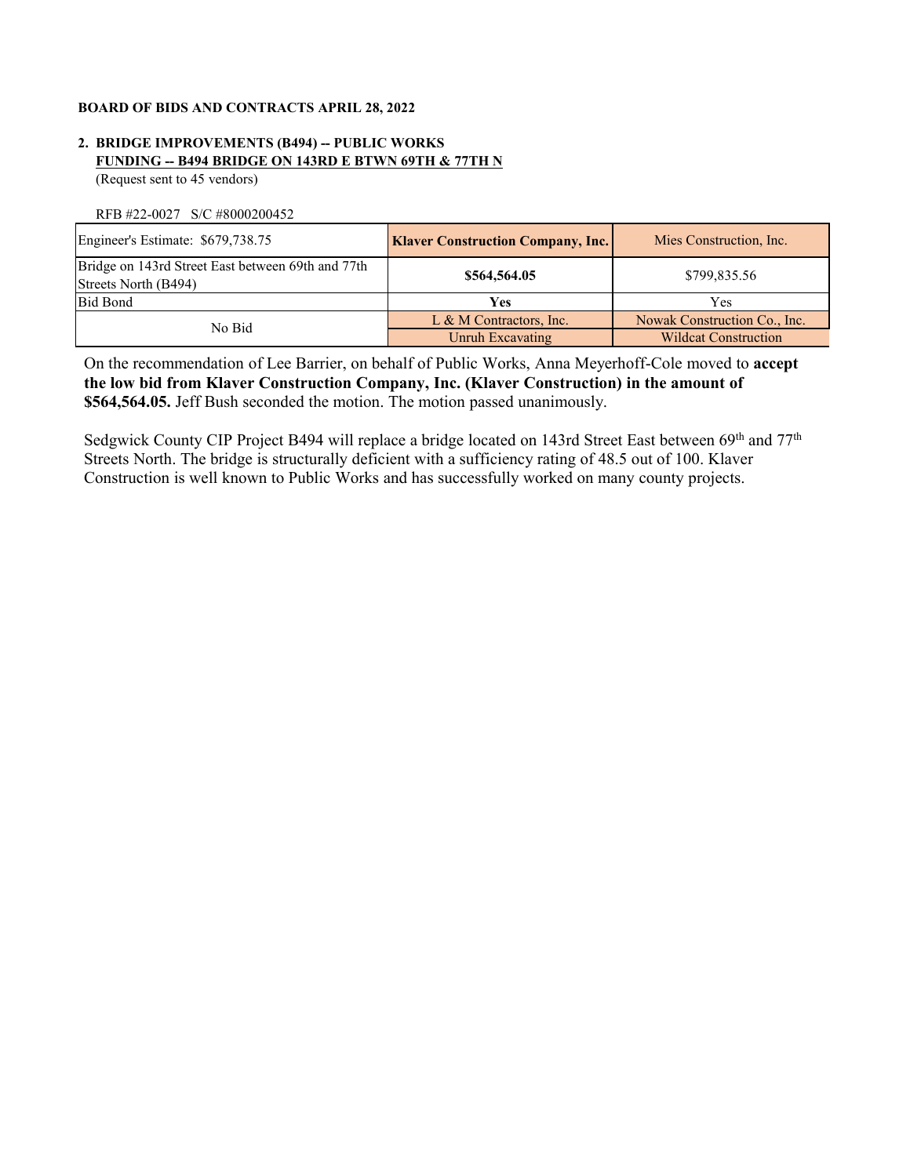# **2. BRIDGE IMPROVEMENTS (B494) -- PUBLIC WORKS FUNDING -- B494 BRIDGE ON 143RD E BTWN 69TH & 77TH N**

(Request sent to 45 vendors)

RFB #22-0027 S/C #8000200452

| Engineer's Estimate: \$679,738.75                                         | <b>Klaver Construction Company, Inc.</b> | Mies Construction, Inc.      |  |
|---------------------------------------------------------------------------|------------------------------------------|------------------------------|--|
| Bridge on 143rd Street East between 69th and 77th<br>Streets North (B494) | \$564,564.05                             | \$799,835.56                 |  |
| <b>Bid Bond</b>                                                           | Yes                                      | Yes                          |  |
| No Bid                                                                    | L & M Contractors, Inc.                  | Nowak Construction Co., Inc. |  |
|                                                                           | Unruh Excavating                         | <b>Wildcat Construction</b>  |  |

On the recommendation of Lee Barrier, on behalf of Public Works, Anna Meyerhoff-Cole moved to **accept the low bid from Klaver Construction Company, Inc. (Klaver Construction) in the amount of \$564,564.05.** Jeff Bush seconded the motion. The motion passed unanimously.

Sedgwick County CIP Project B494 will replace a bridge located on 143rd Street East between 69th and 77th Streets North. The bridge is structurally deficient with a sufficiency rating of 48.5 out of 100. Klaver Construction is well known to Public Works and has successfully worked on many county projects.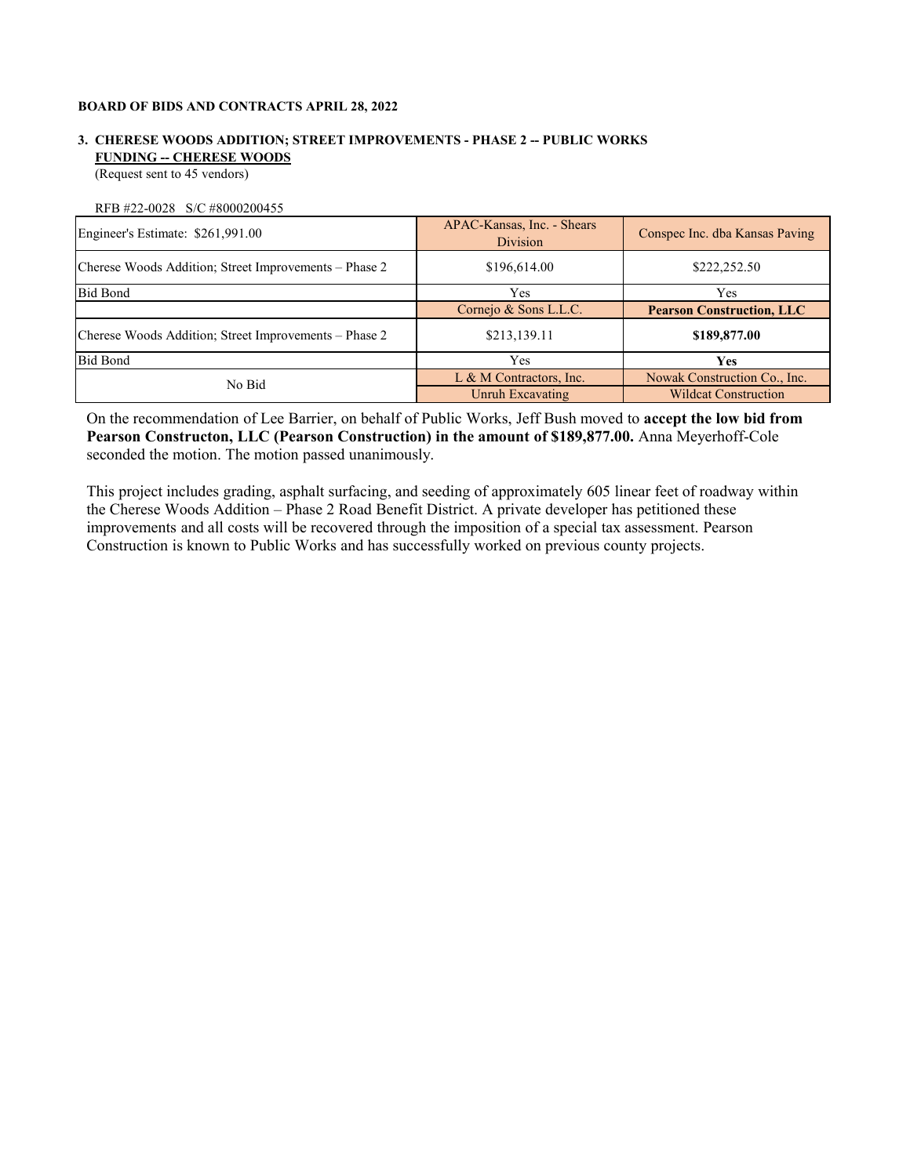# **3. CHERESE WOODS ADDITION; STREET IMPROVEMENTS - PHASE 2 -- PUBLIC WORKS FUNDING -- CHERESE WOODS**

(Request sent to 45 vendors)

RFB #22-0028 S/C #8000200455

| Engineer's Estimate: \$261,991.00                     | APAC-Kansas, Inc. - Shears<br>Division | Conspec Inc. dba Kansas Paving   |
|-------------------------------------------------------|----------------------------------------|----------------------------------|
| Cherese Woods Addition; Street Improvements – Phase 2 | \$196,614.00                           | \$222,252.50                     |
| <b>Bid Bond</b>                                       | Yes                                    | Yes                              |
|                                                       | Cornejo & Sons L.L.C.                  | <b>Pearson Construction, LLC</b> |
| Cherese Woods Addition; Street Improvements – Phase 2 | \$213,139.11                           | \$189,877.00                     |
| <b>Bid Bond</b>                                       | Yes                                    | <b>Yes</b>                       |
| No Bid                                                | L & M Contractors, Inc.                | Nowak Construction Co., Inc.     |
|                                                       | Unruh Excavating                       | <b>Wildcat Construction</b>      |

On the recommendation of Lee Barrier, on behalf of Public Works, Jeff Bush moved to **accept the low bid from Pearson Constructon, LLC (Pearson Construction) in the amount of \$189,877.00.** Anna Meyerhoff-Cole seconded the motion. The motion passed unanimously.

This project includes grading, asphalt surfacing, and seeding of approximately 605 linear feet of roadway within the Cherese Woods Addition – Phase 2 Road Benefit District. A private developer has petitioned these improvements and all costs will be recovered through the imposition of a special tax assessment. Pearson Construction is known to Public Works and has successfully worked on previous county projects.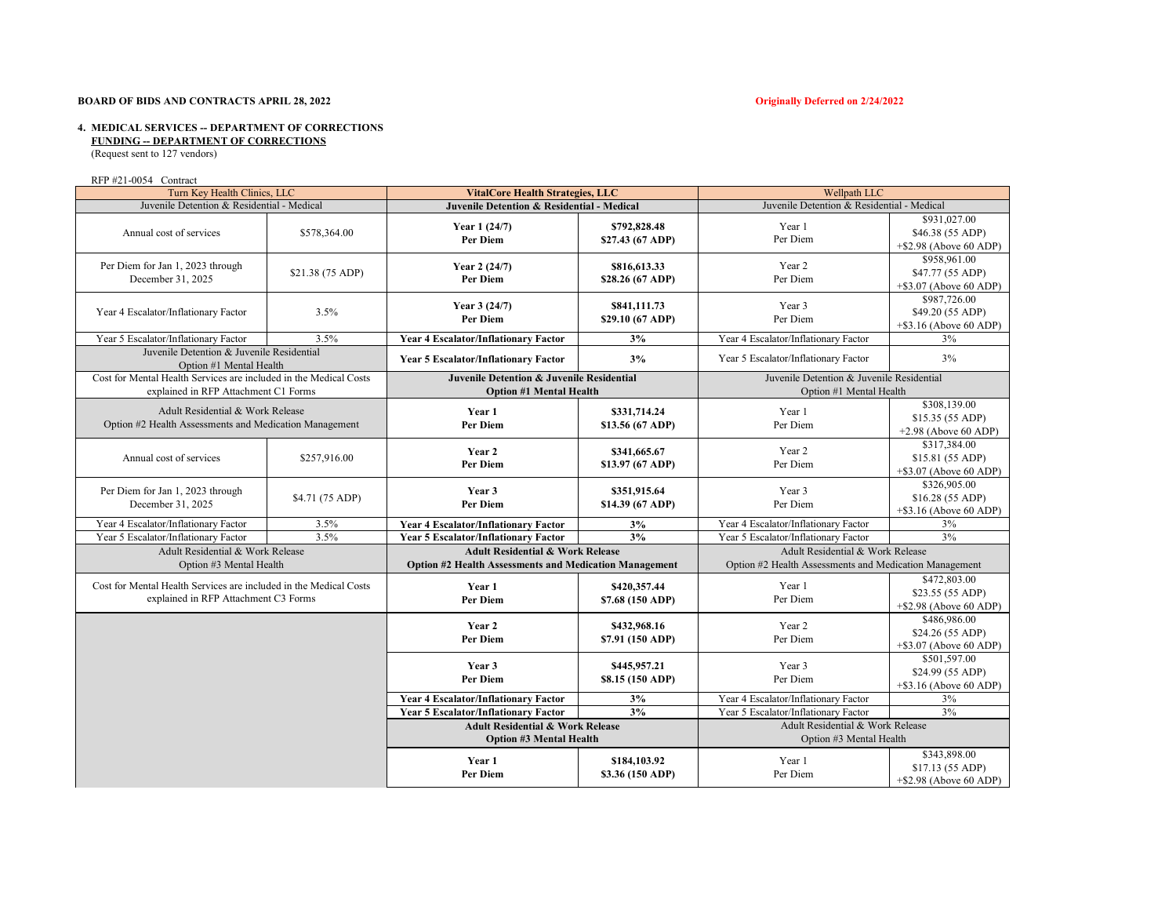#### **BOARD OF BIDS AND CONTRACTS APRIL 28, 2022 Originally Deferred on 2/24/2022**

# **4. MEDICAL SERVICES -- DEPARTMENT OF CORRECTIONS**

 **FUNDING -- DEPARTMENT OF CORRECTIONS**

(Request sent to 127 vendors)

#### RFP #21-0054 Contract

| Turn Key Health Clinics, LLC                                                                              |                  | <b>VitalCore Health Strategies, LLC</b>                                                                      |                                  | Wellpath LLC                                                                               |                                                               |  |
|-----------------------------------------------------------------------------------------------------------|------------------|--------------------------------------------------------------------------------------------------------------|----------------------------------|--------------------------------------------------------------------------------------------|---------------------------------------------------------------|--|
| Juvenile Detention & Residential - Medical                                                                |                  | <b>Juvenile Detention &amp; Residential - Medical</b>                                                        |                                  | Juvenile Detention & Residential - Medical                                                 |                                                               |  |
| Annual cost of services                                                                                   | \$578,364.00     | Year 1 (24/7)<br>Per Diem                                                                                    | \$792,828.48<br>\$27.43 (67 ADP) | Year 1<br>Per Diem                                                                         | \$931,027.00<br>\$46.38 (55 ADP)<br>$+$ \$2.98 (Above 60 ADP) |  |
| Per Diem for Jan 1, 2023 through<br>December 31, 2025                                                     | \$21.38 (75 ADP) | Year 2 (24/7)<br>Per Diem                                                                                    | \$816,613.33<br>\$28.26 (67 ADP) | Year 2<br>Per Diem                                                                         | \$958,961.00<br>\$47.77 (55 ADP)<br>$+$ \$3.07 (Above 60 ADP) |  |
| Year 4 Escalator/Inflationary Factor                                                                      | 3.5%             | Year 3 (24/7)<br>Per Diem                                                                                    | \$841,111.73<br>\$29.10 (67 ADP) | Year 3<br>Per Diem                                                                         | \$987,726.00<br>\$49.20 (55 ADP)<br>$+$ \$3.16 (Above 60 ADP) |  |
| Year 5 Escalator/Inflationary Factor                                                                      | 3.5%             | <b>Year 4 Escalator/Inflationary Factor</b>                                                                  | 3%                               | Year 4 Escalator/Inflationary Factor                                                       | 3%                                                            |  |
| Juvenile Detention & Juvenile Residential<br>Option #1 Mental Health                                      |                  | <b>Year 5 Escalator/Inflationary Factor</b>                                                                  | 3%                               | Year 5 Escalator/Inflationary Factor                                                       | 3%                                                            |  |
| Cost for Mental Health Services are included in the Medical Costs<br>explained in RFP Attachment C1 Forms |                  | <b>Juvenile Detention &amp; Juvenile Residential</b><br><b>Option #1 Mental Health</b>                       |                                  | Juvenile Detention & Juvenile Residential<br>Option #1 Mental Health                       |                                                               |  |
| Adult Residential & Work Release<br>Option #2 Health Assessments and Medication Management                |                  | Year 1<br>Per Diem                                                                                           | \$331,714.24<br>\$13.56 (67 ADP) | Year 1<br>Per Diem                                                                         | \$308,139.00<br>\$15.35 (55 ADP)<br>$+2.98$ (Above 60 ADP)    |  |
| Annual cost of services                                                                                   | \$257,916.00     | Year 2<br>Per Diem                                                                                           | \$341,665.67<br>\$13.97 (67 ADP) | Year 2<br>Per Diem                                                                         | \$317,384.00<br>\$15.81 (55 ADP)<br>$+$ \$3.07 (Above 60 ADP) |  |
| Per Diem for Jan 1, 2023 through<br>December 31, 2025                                                     | \$4.71 (75 ADP)  | Year 3<br><b>Per Diem</b>                                                                                    | \$351,915.64<br>\$14.39 (67 ADP) | Year 3<br>Per Diem                                                                         | \$326,905.00<br>\$16.28 (55 ADP)<br>$+$ \$3.16 (Above 60 ADP) |  |
| Year 4 Escalator/Inflationary Factor                                                                      | 3.5%             | <b>Year 4 Escalator/Inflationary Factor</b>                                                                  | 3%                               | Year 4 Escalator/Inflationary Factor                                                       | 3%                                                            |  |
| Year 5 Escalator/Inflationary Factor                                                                      | 3.5%             | <b>Year 5 Escalator/Inflationary Factor</b>                                                                  | 3%                               | Year 5 Escalator/Inflationary Factor                                                       | $3\%$                                                         |  |
| Adult Residential & Work Release<br>Option #3 Mental Health                                               |                  | <b>Adult Residential &amp; Work Release</b><br><b>Option #2 Health Assessments and Medication Management</b> |                                  | Adult Residential & Work Release<br>Option #2 Health Assessments and Medication Management |                                                               |  |
| Cost for Mental Health Services are included in the Medical Costs<br>explained in RFP Attachment C3 Forms |                  | Year 1<br><b>Per Diem</b>                                                                                    | \$420,357.44<br>\$7.68 (150 ADP) | Year 1<br>Per Diem                                                                         | \$472,803.00<br>\$23.55 (55 ADP)<br>$+$ \$2.98 (Above 60 ADP) |  |
|                                                                                                           |                  | Year 2<br>Per Diem                                                                                           | \$432,968.16<br>\$7.91 (150 ADP) | Year 2<br>Per Diem                                                                         | \$486,986.00<br>\$24.26 (55 ADP)<br>$+$ \$3.07 (Above 60 ADP) |  |
|                                                                                                           |                  | Year 3<br>Per Diem                                                                                           | \$445,957.21<br>\$8.15 (150 ADP) | Year 3<br>Per Diem                                                                         | \$501,597.00<br>\$24.99 (55 ADP)<br>$+$ \$3.16 (Above 60 ADP) |  |
|                                                                                                           |                  | <b>Year 4 Escalator/Inflationary Factor</b>                                                                  | 3%                               | Year 4 Escalator/Inflationary Factor                                                       | $3\%$                                                         |  |
|                                                                                                           |                  | <b>Year 5 Escalator/Inflationary Factor</b>                                                                  | 3%                               | Year 5 Escalator/Inflationary Factor                                                       | $3\%$                                                         |  |
|                                                                                                           |                  | <b>Adult Residential &amp; Work Release</b><br><b>Option #3 Mental Health</b>                                |                                  | Adult Residential & Work Release<br>Option #3 Mental Health                                |                                                               |  |
|                                                                                                           |                  | Year 1<br>Per Diem                                                                                           | \$184,103.92<br>\$3.36 (150 ADP) | Year 1<br>Per Diem                                                                         | \$343,898.00<br>\$17.13 (55 ADP)<br>$+$ \$2.98 (Above 60 ADP) |  |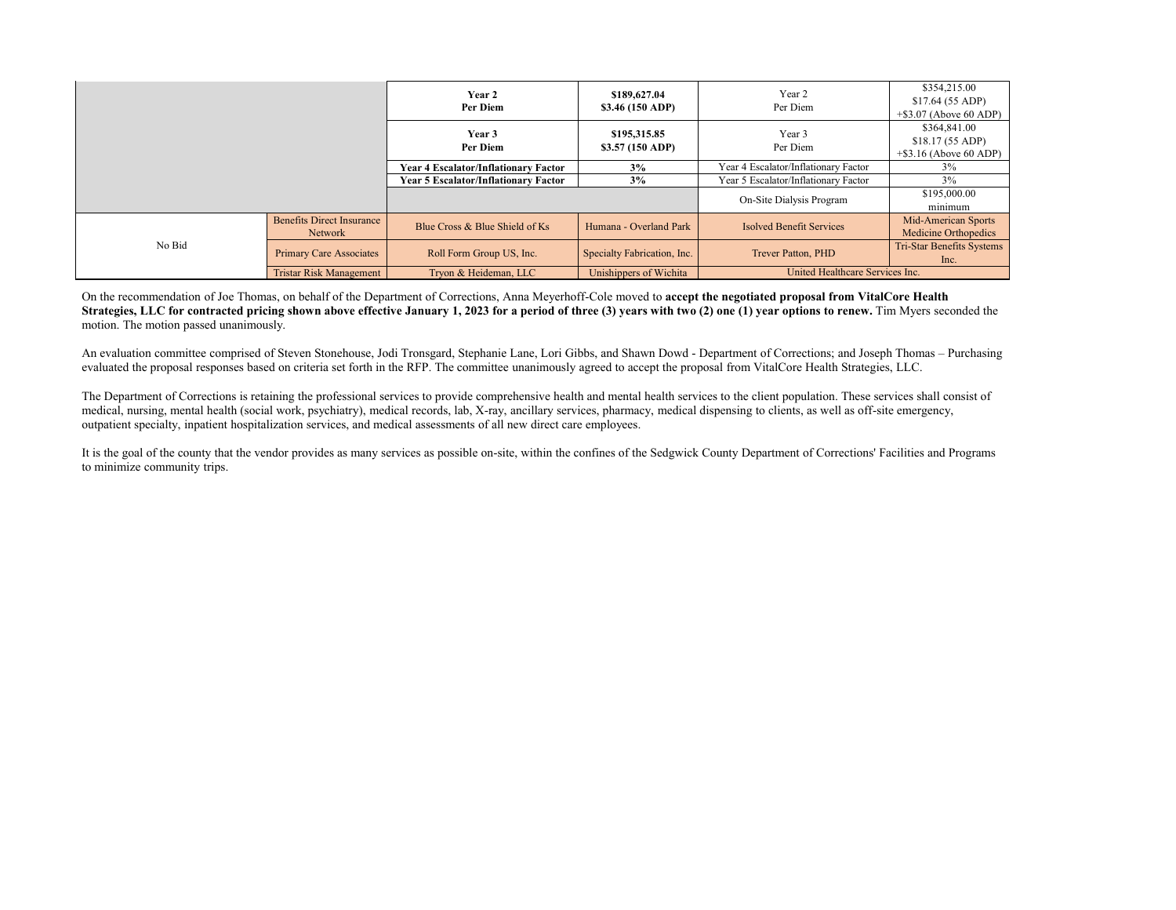|        |                                             | Year 2<br>Per Diem                          | \$189,627.04<br>\$3.46 (150 ADP) | Year 2<br>Per Diem                   | \$354,215.00<br>\$17.64 (55 ADP)<br>$+$ \$3.07 (Above 60 ADP) |
|--------|---------------------------------------------|---------------------------------------------|----------------------------------|--------------------------------------|---------------------------------------------------------------|
|        |                                             | Year 3<br>Per Diem                          | \$195,315.85<br>\$3.57 (150 ADP) | Year 3<br>Per Diem                   | \$364,841.00<br>\$18.17 (55 ADP)<br>$+$ \$3.16 (Above 60 ADP) |
|        |                                             | <b>Year 4 Escalator/Inflationary Factor</b> | 3%                               | Year 4 Escalator/Inflationary Factor | 3%                                                            |
|        |                                             | <b>Year 5 Escalator/Inflationary Factor</b> | 3%                               | Year 5 Escalator/Inflationary Factor | $3\%$                                                         |
|        |                                             |                                             |                                  | On-Site Dialysis Program             | \$195,000.00<br>minimum                                       |
|        | <b>Benefits Direct Insurance</b><br>Network | Blue Cross & Blue Shield of Ks              | Humana - Overland Park           | Isolved Benefit Services             | Mid-American Sports<br>Medicine Orthopedics                   |
| No Bid | <b>Primary Care Associates</b>              | Roll Form Group US, Inc.                    | Specialty Fabrication, Inc.      | Trever Patton, PHD                   | Tri-Star Benefits Systems<br>Inc.                             |
|        | <b>Tristar Risk Management</b>              | Tryon & Heideman, LLC                       | Unishippers of Wichita           | United Healthcare Services Inc.      |                                                               |

On the recommendation of Joe Thomas, on behalf of the Department of Corrections, Anna Meyerhoff-Cole moved to **accept the negotiated proposal from VitalCore Health Strategies, LLC for contracted pricing shown above effective January 1, 2023 for a period of three (3) years with two (2) one (1) year options to renew.** Tim Myers seconded the motion. The motion passed unanimously.

An evaluation committee comprised of Steven Stonehouse, Jodi Tronsgard, Stephanie Lane, Lori Gibbs, and Shawn Dowd - Department of Corrections; and Joseph Thomas – Purchasing evaluated the proposal responses based on criteria set forth in the RFP. The committee unanimously agreed to accept the proposal from VitalCore Health Strategies, LLC.

The Department of Corrections is retaining the professional services to provide comprehensive health and mental health services to the client population. These services shall consist of medical, nursing, mental health (social work, psychiatry), medical records, lab, X-ray, ancillary services, pharmacy, medical dispensing to clients, as well as off-site emergency, outpatient specialty, inpatient hospitalization services, and medical assessments of all new direct care employees.

It is the goal of the county that the vendor provides as many services as possible on-site, within the confines of the Sedgwick County Department of Corrections' Facilities and Programs to minimize community trips.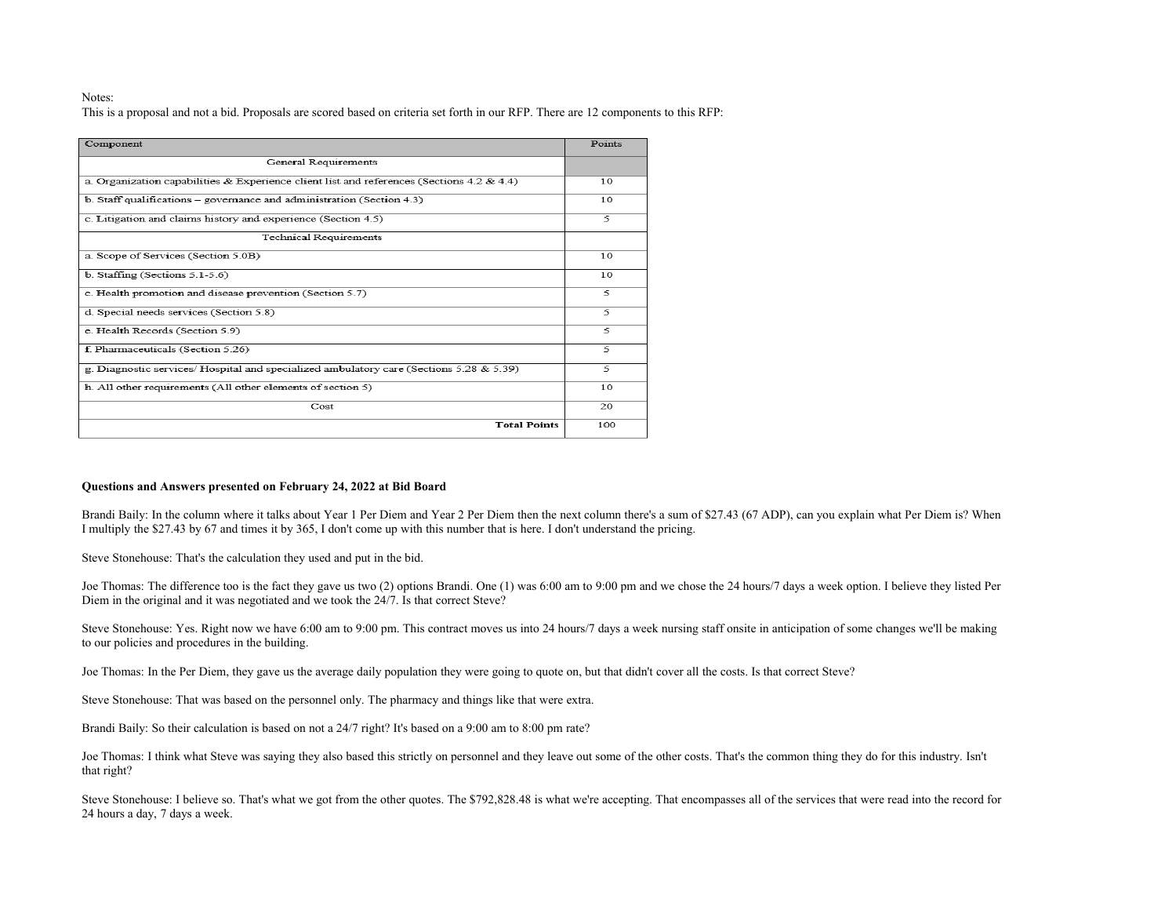#### Notes:

This is a proposal and not a bid. Proposals are scored based on criteria set forth in our RFP. There are 12 components to this RFP:

| Component                                                                                 | Points                |
|-------------------------------------------------------------------------------------------|-----------------------|
| General Requirements                                                                      |                       |
| a. Organization capabilities & Experience client list and references (Sections 4.2 & 4.4) | 10                    |
| b. Staff qualifications $-$ governance and administration (Section 4.3)                   | 10                    |
| c. Litigation and claims history and experience (Section 4.5)                             | 5                     |
| <b>Technical Requirements</b>                                                             |                       |
| a. Scope of Services (Section 5.0B)                                                       | 10                    |
| $b.$ Staffing (Sections 5.1-5.6)                                                          | 10                    |
| c. Health promotion and disease prevention (Section 5.7)                                  | $\tilde{\mathcal{L}}$ |
| d. Special needs services (Section 5.8)                                                   | 5                     |
| e. Health Records (Section 5.9)                                                           | 5                     |
| f. Pharmaceuticals (Section 5.26)                                                         | 5                     |
| g. Diagnostic services/ Hospital and specialized ambulatory care (Sections 5.28 & 5.39)   | 5                     |
| h. All other requirements (All other elements of section 5)                               | 10                    |
| Cost                                                                                      | 20                    |
| <b>Total Points</b>                                                                       | 100                   |

#### **Questions and Answers presented on February 24, 2022 at Bid Board**

Brandi Baily: In the column where it talks about Year 1 Per Diem and Year 2 Per Diem then the next column there's a sum of \$27.43 (67 ADP), can you explain what Per Diem is? When I multiply the \$27.43 by 67 and times it by 365, I don't come up with this number that is here. I don't understand the pricing.

Steve Stonehouse: That's the calculation they used and put in the bid.

Joe Thomas: The difference too is the fact they gave us two (2) options Brandi. One (1) was 6:00 am to 9:00 pm and we chose the 24 hours/7 days a week option. I believe they listed Per Diem in the original and it was negotiated and we took the 24/7. Is that correct Steve?

Steve Stonehouse: Yes. Right now we have 6:00 am to 9:00 pm. This contract moves us into 24 hours/7 days a week nursing staff onsite in anticipation of some changes we'll be making to our policies and procedures in the building.

Joe Thomas: In the Per Diem, they gave us the average daily population they were going to quote on, but that didn't cover all the costs. Is that correct Steve?

Steve Stonehouse: That was based on the personnel only. The pharmacy and things like that were extra.

Brandi Baily: So their calculation is based on not a 24/7 right? It's based on a 9:00 am to 8:00 pm rate?

Joe Thomas: I think what Steve was saying they also based this strictly on personnel and they leave out some of the other costs. That's the common thing they do for this industry. Isn't that right?

Steve Stonehouse: I believe so. That's what we got from the other quotes. The \$792,828.48 is what we're accepting. That encompasses all of the services that were read into the record for 24 hours a day, 7 days a week.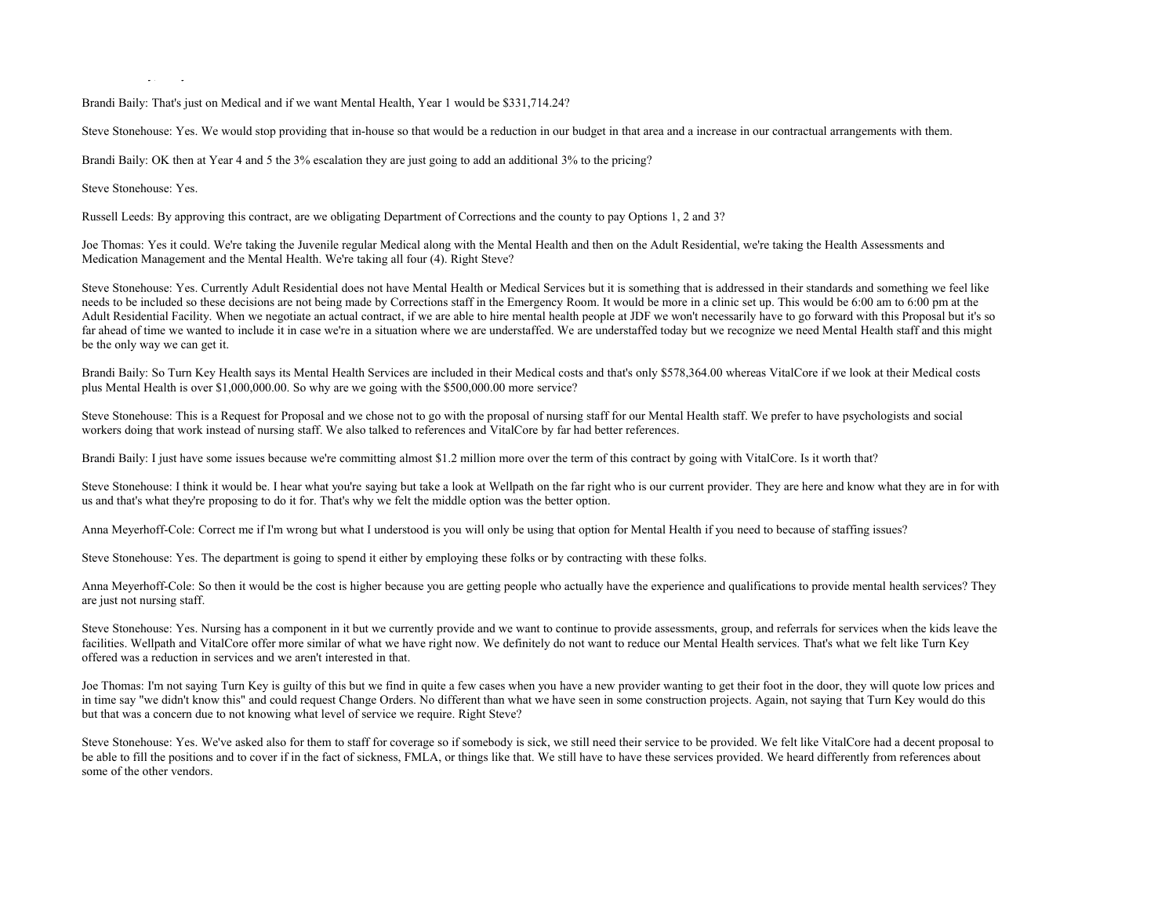$y_{\rm in}$  y,  $y_{\rm in}$ 

Brandi Baily: That's just on Medical and if we want Mental Health, Year 1 would be \$331,714.24?

Steve Stonehouse: Yes. We would stop providing that in-house so that would be a reduction in our budget in that area and a increase in our contractual arrangements with them.

Brandi Baily: OK then at Year 4 and 5 the 3% escalation they are just going to add an additional 3% to the pricing?

Steve Stonehouse: Yes.

Russell Leeds: By approving this contract, are we obligating Department of Corrections and the county to pay Options 1, 2 and 3?

Joe Thomas: Yes it could. We're taking the Juvenile regular Medical along with the Mental Health and then on the Adult Residential, we're taking the Health Assessments and Medication Management and the Mental Health. We're taking all four (4). Right Steve?

Steve Stonehouse: Yes. Currently Adult Residential does not have Mental Health or Medical Services but it is something that is addressed in their standards and something we feel like needs to be included so these decisions are not being made by Corrections staff in the Emergency Room. It would be more in a clinic set up. This would be 6:00 am to 6:00 pm at the Adult Residential Facility. When we negotiate an actual contract, if we are able to hire mental health people at JDF we won't necessarily have to go forward with this Proposal but it's so far ahead of time we wanted to include it in case we're in a situation where we are understaffed. We are understaffed today but we recognize we need Mental Health staff and this might be the only way we can get it.

Brandi Baily: So Turn Key Health says its Mental Health Services are included in their Medical costs and that's only \$578,364.00 whereas VitalCore if we look at their Medical costs plus Mental Health is over \$1,000,000.00. So why are we going with the \$500,000.00 more service?

Steve Stonehouse: This is a Request for Proposal and we chose not to go with the proposal of nursing staff for our Mental Health staff. We prefer to have psychologists and social workers doing that work instead of nursing staff. We also talked to references and VitalCore by far had better references.

Brandi Baily: I just have some issues because we're committing almost \$1.2 million more over the term of this contract by going with VitalCore. Is it worth that?

Steve Stonehouse: I think it would be. I hear what you're saying but take a look at Wellpath on the far right who is our current provider. They are here and know what they are in for with us and that's what they're proposing to do it for. That's why we felt the middle option was the better option.

Anna Meyerhoff-Cole: Correct me if I'm wrong but what I understood is you will only be using that option for Mental Health if you need to because of staffing issues?

Steve Stonehouse: Yes. The department is going to spend it either by employing these folks or by contracting with these folks.

Anna Meyerhoff-Cole: So then it would be the cost is higher because you are getting people who actually have the experience and qualifications to provide mental health services? They are just not nursing staff.

Steve Stonehouse: Yes. Nursing has a component in it but we currently provide and we want to continue to provide assessments, group, and referrals for services when the kids leave the facilities. Wellpath and VitalCore offer more similar of what we have right now. We definitely do not want to reduce our Mental Health services. That's what we felt like Turn Key offered was a reduction in services and we aren't interested in that.

Joe Thomas: I'm not saying Turn Key is guilty of this but we find in quite a few cases when you have a new provider wanting to get their foot in the door, they will quote low prices and in time say "we didn't know this" and could request Change Orders. No different than what we have seen in some construction projects. Again, not saying that Turn Key would do this but that was a concern due to not knowing what level of service we require. Right Steve?

Steve Stonehouse: Yes. We've asked also for them to staff for coverage so if somebody is sick, we still need their service to be provided. We felt like VitalCore had a decent proposal to be able to fill the positions and to cover if in the fact of sickness, FMLA, or things like that. We still have to have these services provided. We heard differently from references about some of the other vendors.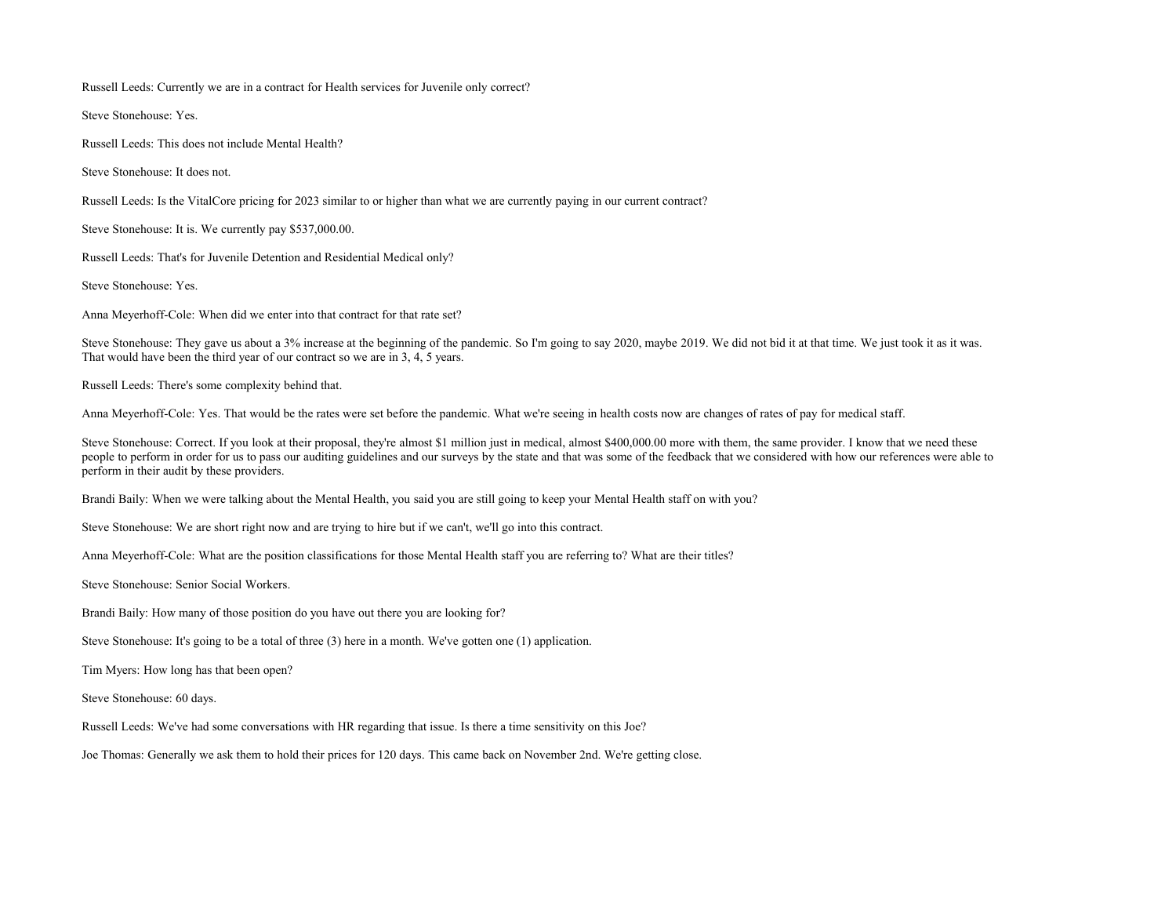Russell Leeds: Currently we are in a contract for Health services for Juvenile only correct?

Steve Stonehouse: Yes.

Russell Leeds: This does not include Mental Health?

Steve Stonehouse: It does not.

Russell Leeds: Is the VitalCore pricing for 2023 similar to or higher than what we are currently paying in our current contract?

Steve Stonehouse: It is. We currently pay \$537,000.00.

Russell Leeds: That's for Juvenile Detention and Residential Medical only?

Steve Stonehouse: Yes.

Anna Meyerhoff-Cole: When did we enter into that contract for that rate set?

Steve Stonehouse: They gave us about a 3% increase at the beginning of the pandemic. So I'm going to say 2020, maybe 2019. We did not bid it at that time. We just took it as it was. That would have been the third year of our contract so we are in 3, 4, 5 years.

Russell Leeds: There's some complexity behind that.

Anna Meyerhoff-Cole: Yes. That would be the rates were set before the pandemic. What we're seeing in health costs now are changes of rates of pay for medical staff.

Steve Stonehouse: Correct. If you look at their proposal, they're almost \$1 million just in medical, almost \$400,000.00 more with them, the same provider. I know that we need these people to perform in order for us to pass our auditing guidelines and our surveys by the state and that was some of the feedback that we considered with how our references were able to perform in their audit by these providers.

Brandi Baily: When we were talking about the Mental Health, you said you are still going to keep your Mental Health staff on with you?

Steve Stonehouse: We are short right now and are trying to hire but if we can't, we'll go into this contract.

Anna Meyerhoff-Cole: What are the position classifications for those Mental Health staff you are referring to? What are their titles?

Steve Stonehouse: Senior Social Workers.

Brandi Baily: How many of those position do you have out there you are looking for?

Steve Stonehouse: It's going to be a total of three (3) here in a month. We've gotten one (1) application.

Tim Myers: How long has that been open?

Steve Stonehouse: 60 days.

Russell Leeds: We've had some conversations with HR regarding that issue. Is there a time sensitivity on this Joe?

Joe Thomas: Generally we ask them to hold their prices for 120 days. This came back on November 2nd. We're getting close.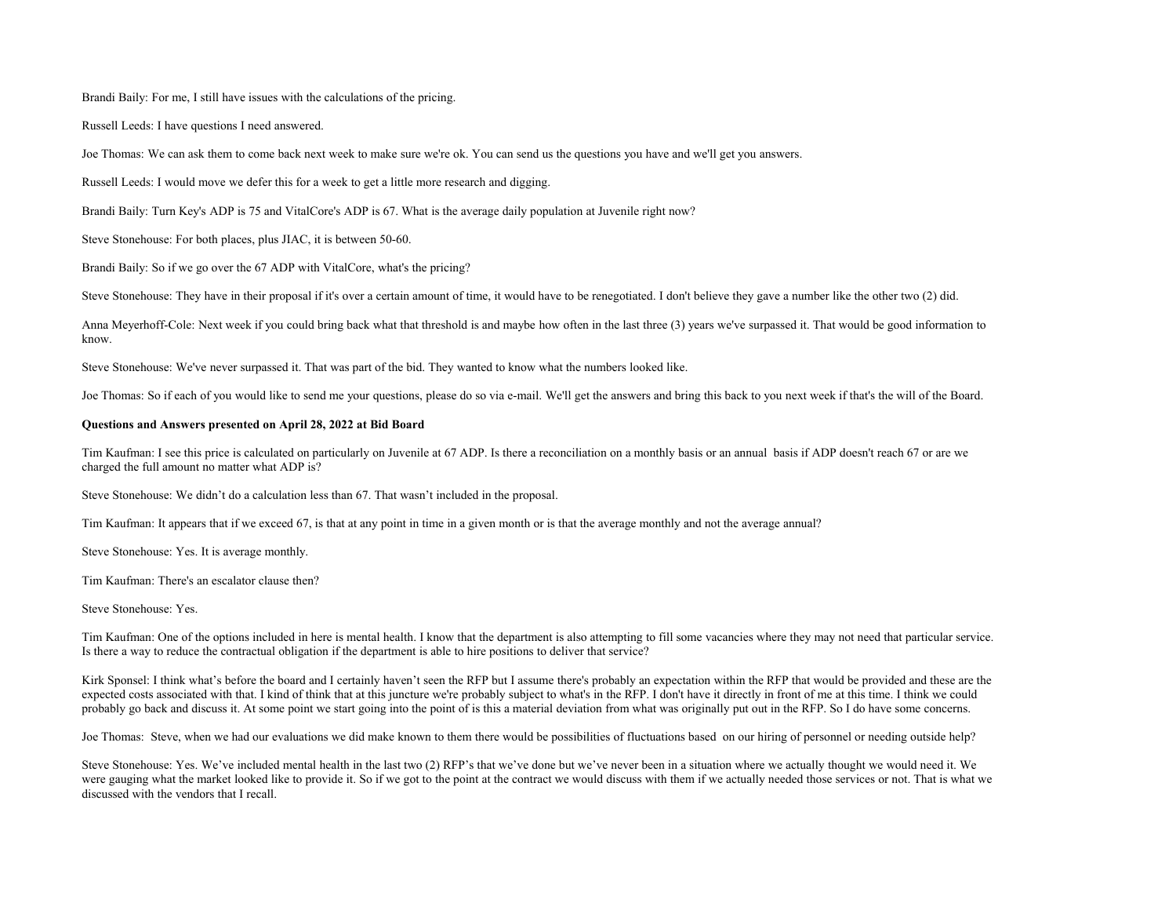Brandi Baily: For me, I still have issues with the calculations of the pricing.

Russell Leeds: I have questions I need answered.

Joe Thomas: We can ask them to come back next week to make sure we're ok. You can send us the questions you have and we'll get you answers.

Russell Leeds: I would move we defer this for a week to get a little more research and digging.

Brandi Baily: Turn Key's ADP is 75 and VitalCore's ADP is 67. What is the average daily population at Juvenile right now?

Steve Stonehouse: For both places, plus JIAC, it is between 50-60.

Brandi Baily: So if we go over the 67 ADP with VitalCore, what's the pricing?

Steve Stonehouse: They have in their proposal if it's over a certain amount of time, it would have to be renegotiated. I don't believe they gave a number like the other two (2) did.

Anna Meyerhoff-Cole: Next week if you could bring back what that threshold is and maybe how often in the last three (3) years we've surpassed it. That would be good information to know.

Steve Stonehouse: We've never surpassed it. That was part of the bid. They wanted to know what the numbers looked like.

Joe Thomas: So if each of you would like to send me your questions, please do so via e-mail. We'll get the answers and bring this back to you next week if that's the will of the Board.

#### **Questions and Answers presented on April 28, 2022 at Bid Board**

Tim Kaufman: I see this price is calculated on particularly on Juvenile at 67 ADP. Is there a reconciliation on a monthly basis or an annual basis if ADP doesn't reach 67 or are we charged the full amount no matter what ADP is?

Steve Stonehouse: We didn't do a calculation less than 67. That wasn't included in the proposal.

Tim Kaufman: It appears that if we exceed 67, is that at any point in time in a given month or is that the average monthly and not the average annual?

Steve Stonehouse: Yes. It is average monthly.

Tim Kaufman: There's an escalator clause then?

Steve Stonehouse: Yes.

Tim Kaufman: One of the options included in here is mental health. I know that the department is also attempting to fill some vacancies where they may not need that particular service. Is there a way to reduce the contractual obligation if the department is able to hire positions to deliver that service?

Kirk Sponsel: I think what's before the board and I certainly haven't seen the RFP but I assume there's probably an expectation within the RFP that would be provided and these are the expected costs associated with that. I kind of think that at this juncture we're probably subject to what's in the RFP. I don't have it directly in front of me at this time. I think we could probably go back and discuss it. At some point we start going into the point of is this a material deviation from what was originally put out in the RFP. So I do have some concerns.

Joe Thomas: Steve, when we had our evaluations we did make known to them there would be possibilities of fluctuations based on our hiring of personnel or needing outside help?

Steve Stonehouse: Yes. We've included mental health in the last two (2) RFP's that we've done but we've never been in a situation where we actually thought we would need it. We were gauging what the market looked like to provide it. So if we got to the point at the contract we would discuss with them if we actually needed those services or not. That is what we discussed with the vendors that I recall.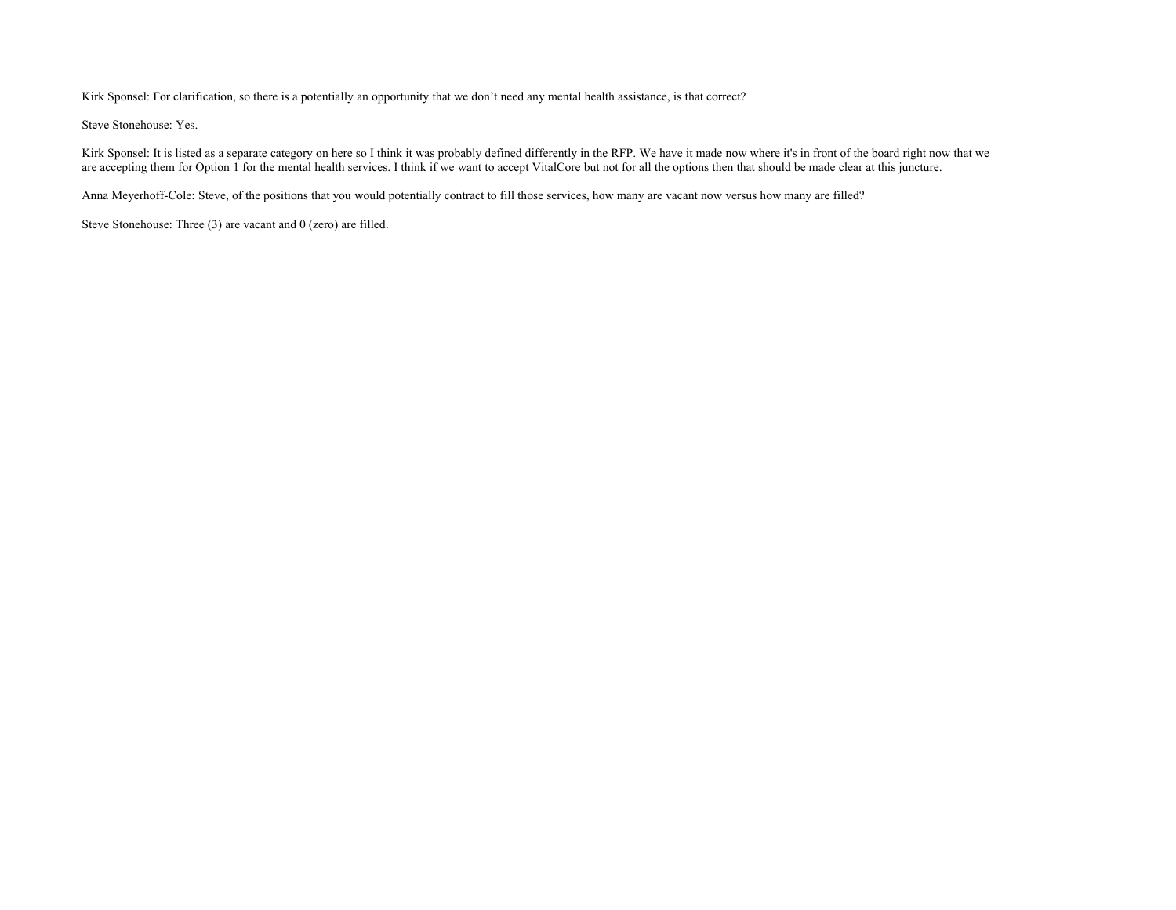Kirk Sponsel: For clarification, so there is a potentially an opportunity that we don't need any mental health assistance, is that correct?

Steve Stonehouse: Yes.

Kirk Sponsel: It is listed as a separate category on here so I think it was probably defined differently in the RFP. We have it made now where it's in front of the board right now that we are accepting them for Option 1 for the mental health services. I think if we want to accept VitalCore but not for all the options then that should be made clear at this juncture.

Anna Meyerhoff-Cole: Steve, of the positions that you would potentially contract to fill those services, how many are vacant now versus how many are filled?

Steve Stonehouse: Three (3) are vacant and 0 (zero) are filled.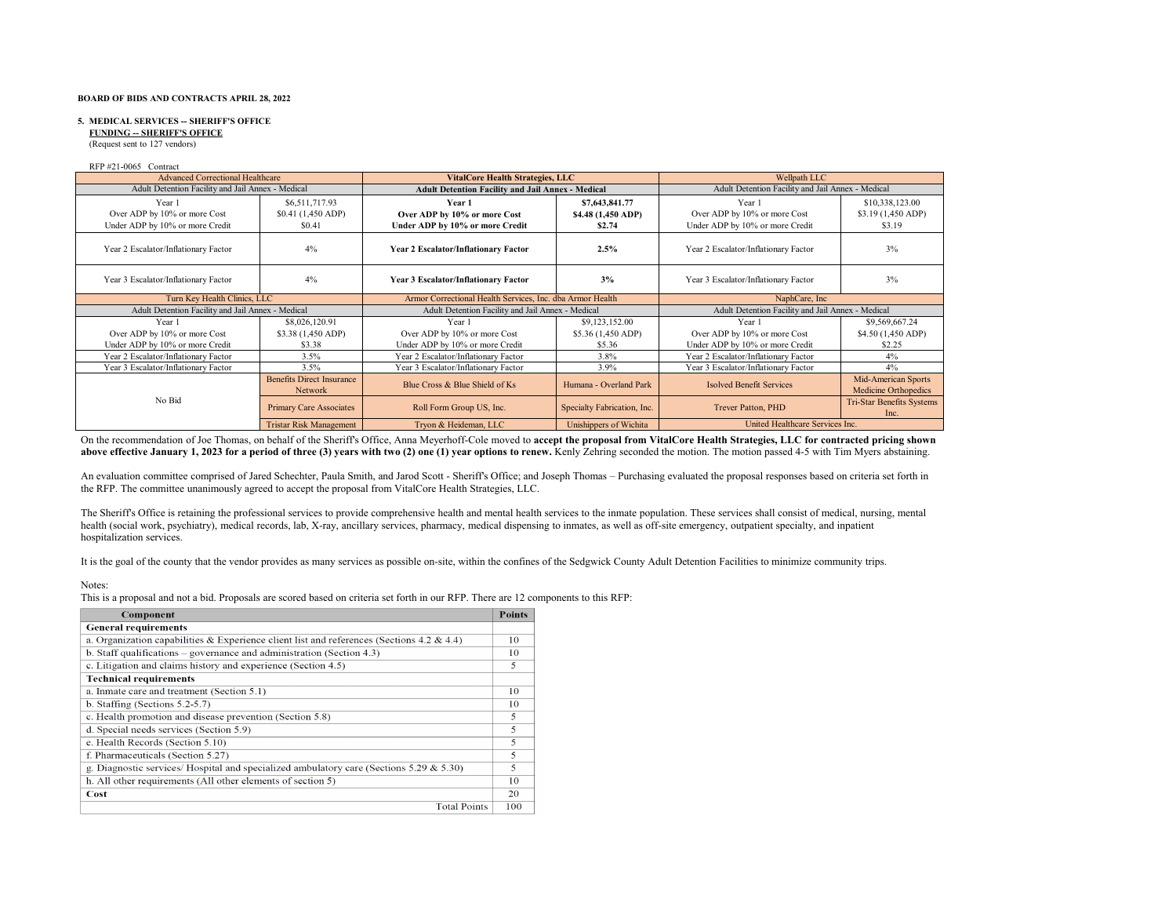#### **5. MEDICAL SERVICES -- SHERIFF'S OFFICE**

 **FUNDING -- SHERIFF'S OFFICE**

(Request sent to 127 vendors)

RFP #21-0065 Contract

| <b>Advanced Correctional Healthcare</b>           |                                             | <b>VitalCore Health Strategies, LLC</b>                  |                                                           | Wellpath LLC                                      |                                             |
|---------------------------------------------------|---------------------------------------------|----------------------------------------------------------|-----------------------------------------------------------|---------------------------------------------------|---------------------------------------------|
| Adult Detention Facility and Jail Annex - Medical |                                             | <b>Adult Detention Facility and Jail Annex - Medical</b> |                                                           | Adult Detention Facility and Jail Annex - Medical |                                             |
| Year 1                                            | \$6,511,717.93                              | Year 1                                                   | \$7,643,841.77                                            | Year 1                                            | \$10,338,123.00                             |
| Over ADP by 10% or more Cost                      | \$0.41 (1,450 ADP)                          | Over ADP by 10% or more Cost                             | \$4.48 (1,450 ADP)                                        | Over ADP by 10% or more Cost                      | \$3.19 (1,450 ADP)                          |
| Under ADP by 10% or more Credit                   | \$0.41                                      | Under ADP by 10% or more Credit                          | \$2.74                                                    | Under ADP by 10% or more Credit                   | \$3.19                                      |
| Year 2 Escalator/Inflationary Factor              | 4%                                          | <b>Year 2 Escalator/Inflationary Factor</b>              | Year 2 Escalator/Inflationary Factor<br>2.5%              |                                                   | 3%                                          |
| Year 3 Escalator/Inflationary Factor              | 4%                                          | 3%<br>Year 3 Escalator/Inflationary Factor               |                                                           | Year 3 Escalator/Inflationary Factor              | 3%                                          |
|                                                   | Turn Key Health Clinics, LLC                |                                                          | Armor Correctional Health Services, Inc. dba Armor Health |                                                   |                                             |
| Adult Detention Facility and Jail Annex - Medical |                                             | Adult Detention Facility and Jail Annex - Medical        |                                                           | Adult Detention Facility and Jail Annex - Medical |                                             |
| Year 1                                            | \$8,026,120.91                              | Year 1                                                   | \$9,123,152.00                                            | Year 1                                            | \$9,569,667.24                              |
| Over ADP by 10% or more Cost                      | \$3.38 (1,450 ADP)                          | Over ADP by 10% or more Cost                             | \$5.36 (1,450 ADP)                                        | Over ADP by 10% or more Cost                      | \$4.50 (1,450 ADP)                          |
| Under ADP by 10% or more Credit                   | \$3.38                                      | Under ADP by 10% or more Credit                          | \$5.36                                                    | Under ADP by 10% or more Credit                   | \$2.25                                      |
| Year 2 Escalator/Inflationary Factor              | 3.5%                                        | Year 2 Escalator/Inflationary Factor                     | 3.8%                                                      | Year 2 Escalator/Inflationary Factor              | 4%                                          |
| Year 3 Escalator/Inflationary Factor              | 3.5%                                        | Year 3 Escalator/Inflationary Factor                     | 3.9%                                                      | Year 3 Escalator/Inflationary Factor              | 4%                                          |
|                                                   | <b>Benefits Direct Insurance</b><br>Network | Blue Cross & Blue Shield of Ks                           | Humana - Overland Park                                    | <b>Isolved Benefit Services</b>                   | Mid-American Sports<br>Medicine Orthopedics |
| No Bid                                            | <b>Primary Care Associates</b>              | Roll Form Group US, Inc.                                 | Specialty Fabrication, Inc.                               | Trever Patton, PHD                                | <b>Tri-Star Benefits Systems</b><br>Inc.    |
|                                                   | <b>Tristar Risk Management</b>              | Tryon & Heideman, LLC                                    | Unishippers of Wichita                                    | United Healthcare Services Inc.                   |                                             |

On the recommendation of Joe Thomas, on behalf of the Sheriff's Office, Anna Meyerhoff-Cole moved to **accept the proposal from VitalCore Health Strategies, LLC for contracted pricing shown** above effective January 1, 2023 for a period of three (3) years with two (2) one (1) year options to renew. Kenly Zehring seconded the motion. The motion passed 4-5 with Tim Myers abstaining.

An evaluation committee comprised of Jared Schechter, Paula Smith, and Jarod Scott - Sheriff's Office; and Joseph Thomas – Purchasing evaluated the proposal responses based on criteria set forth in the RFP. The committee unanimously agreed to accept the proposal from VitalCore Health Strategies, LLC.

The Sheriff's Office is retaining the professional services to provide comprehensive health and mental health services to the inmate population. These services shall consist of medical, nursing, mental health (social work, psychiatry), medical records, lab, X-ray, ancillary services, pharmacy, medical dispensing to inmates, as well as off-site emergency, outpatient specialty, and inpatient hospitalization services.

It is the goal of the county that the vendor provides as many services as possible on-site, within the confines of the Sedgwick County Adult Detention Facilities to minimize community trips.

#### Notes:

This is a proposal and not a bid. Proposals are scored based on criteria set forth in our RFP. There are 12 components to this RFP:

| Component                                                                                 | <b>Points</b> |
|-------------------------------------------------------------------------------------------|---------------|
| <b>General requirements</b>                                                               |               |
| a. Organization capabilities & Experience client list and references (Sections 4.2 & 4.4) | 10            |
| b. Staff qualifications $-$ governance and administration (Section 4.3)                   | 10            |
| c. Litigation and claims history and experience (Section 4.5)                             | 5             |
| <b>Technical requirements</b>                                                             |               |
| a. Inmate care and treatment (Section 5.1)                                                | 10            |
| b. Staffing (Sections $5.2-5.7$ )                                                         | 10            |
| c. Health promotion and disease prevention (Section 5.8)                                  | 5             |
| d. Special needs services (Section 5.9)                                                   | 5             |
| e. Health Records (Section 5.10)                                                          | 5             |
| f. Pharmaceuticals (Section 5.27)                                                         | 5             |
| g. Diagnostic services/Hospital and specialized ambulatory care (Sections 5.29 & 5.30)    | 5             |
| h. All other requirements (All other elements of section 5)                               | 10            |
| Cost                                                                                      | 20            |
| <b>Total Points</b>                                                                       | 100           |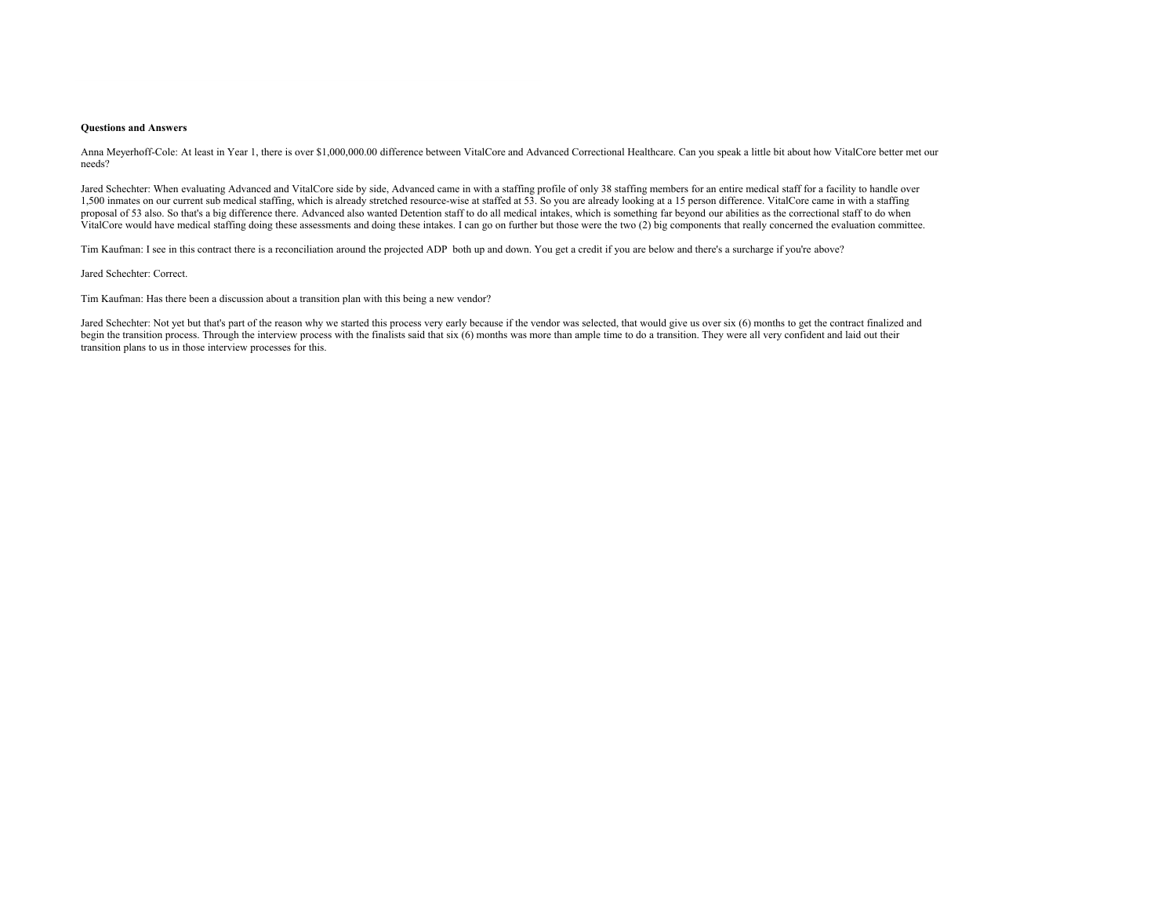#### **Questions and Answers**

Anna Meyerhoff-Cole: At least in Year 1, there is over \$1,000,000.00 difference between VitalCore and Advanced Correctional Healthcare. Can you speak a little bit about how VitalCore better met our needs?

Jared Schechter: When evaluating Advanced and VitalCore side by side, Advanced came in with a staffing profile of only 38 staffing members for an entire medical staff for a facility to handle over 1,500 inmates on our current sub medical staffing, which is already stretched resource-wise at staffed at 53. So you are already looking at a 15 person difference. VitalCore came in with a staffing proposal of 53 also. So that's a big difference there. Advanced also wanted Detention staff to do all medical intakes, which is something far beyond our abilities as the correctional staff to do when VitalCore would have medical staffing doing these assessments and doing these intakes. I can go on further but those were the two (2) big components that really concerned the evaluation committee.

Tim Kaufman: I see in this contract there is a reconciliation around the projected ADP both up and down. You get a credit if you are below and there's a surcharge if you're above?

Jared Schechter: Correct.

Tim Kaufman: Has there been a discussion about a transition plan with this being a new vendor?

Jared Schechter: Not yet but that's part of the reason why we started this process very early because if the vendor was selected, that would give us over six (6) months to get the contract finalized and begin the transition process. Through the interview process with the finalists said that six (6) months was more than ample time to do a transition. They were all very confident and laid out their transition plans to us in those interview processes for this.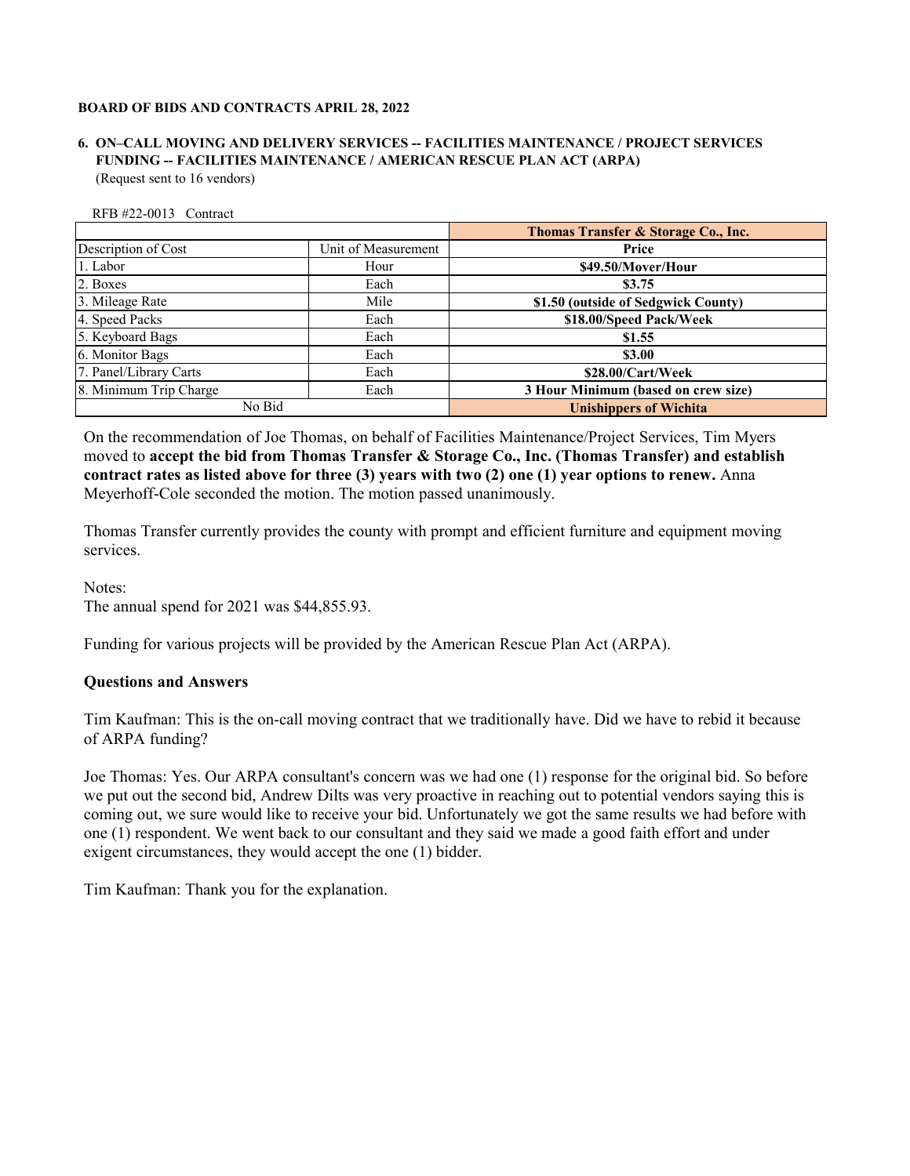# **FUNDING -- FACILITIES MAINTENANCE / AMERICAN RESCUE PLAN ACT (ARPA) 6. ON–CALL MOVING AND DELIVERY SERVICES -- FACILITIES MAINTENANCE / PROJECT SERVICES** (Request sent to 16 vendors)

|                        |                     | Thomas Transfer & Storage Co., Inc. |
|------------------------|---------------------|-------------------------------------|
| Description of Cost    | Unit of Measurement | Price                               |
| 1. Labor               | Hour                | \$49.50/Mover/Hour                  |
| 2. Boxes               | Each                | \$3.75                              |
| 3. Mileage Rate        | Mile                | \$1.50 (outside of Sedgwick County) |
| 4. Speed Packs         | Each                | \$18.00/Speed Pack/Week             |
| 5. Keyboard Bags       | Each                | \$1.55                              |
| 6. Monitor Bags        | Each                | \$3.00                              |
| 7. Panel/Library Carts | Each                | \$28.00/Cart/Week                   |
| 8. Minimum Trip Charge | Each                | 3 Hour Minimum (based on crew size) |
| No Bid                 |                     | <b>Unishippers of Wichita</b>       |

On the recommendation of Joe Thomas, on behalf of Facilities Maintenance/Project Services, Tim Myers moved to **accept the bid from Thomas Transfer & Storage Co., Inc. (Thomas Transfer) and establish contract rates as listed above for three (3) years with two (2) one (1) year options to renew.** Anna Meyerhoff-Cole seconded the motion. The motion passed unanimously.

Thomas Transfer currently provides the county with prompt and efficient furniture and equipment moving services.

Notes: The annual spend for 2021 was \$44,855.93.

Funding for various projects will be provided by the American Rescue Plan Act (ARPA).

# **Questions and Answers**

RFB #22-0013 Contract

Tim Kaufman: This is the on-call moving contract that we traditionally have. Did we have to rebid it because of ARPA funding?

Joe Thomas: Yes. Our ARPA consultant's concern was we had one (1) response for the original bid. So before we put out the second bid, Andrew Dilts was very proactive in reaching out to potential vendors saying this is coming out, we sure would like to receive your bid. Unfortunately we got the same results we had before with one (1) respondent. We went back to our consultant and they said we made a good faith effort and under exigent circumstances, they would accept the one (1) bidder.

Tim Kaufman: Thank you for the explanation.